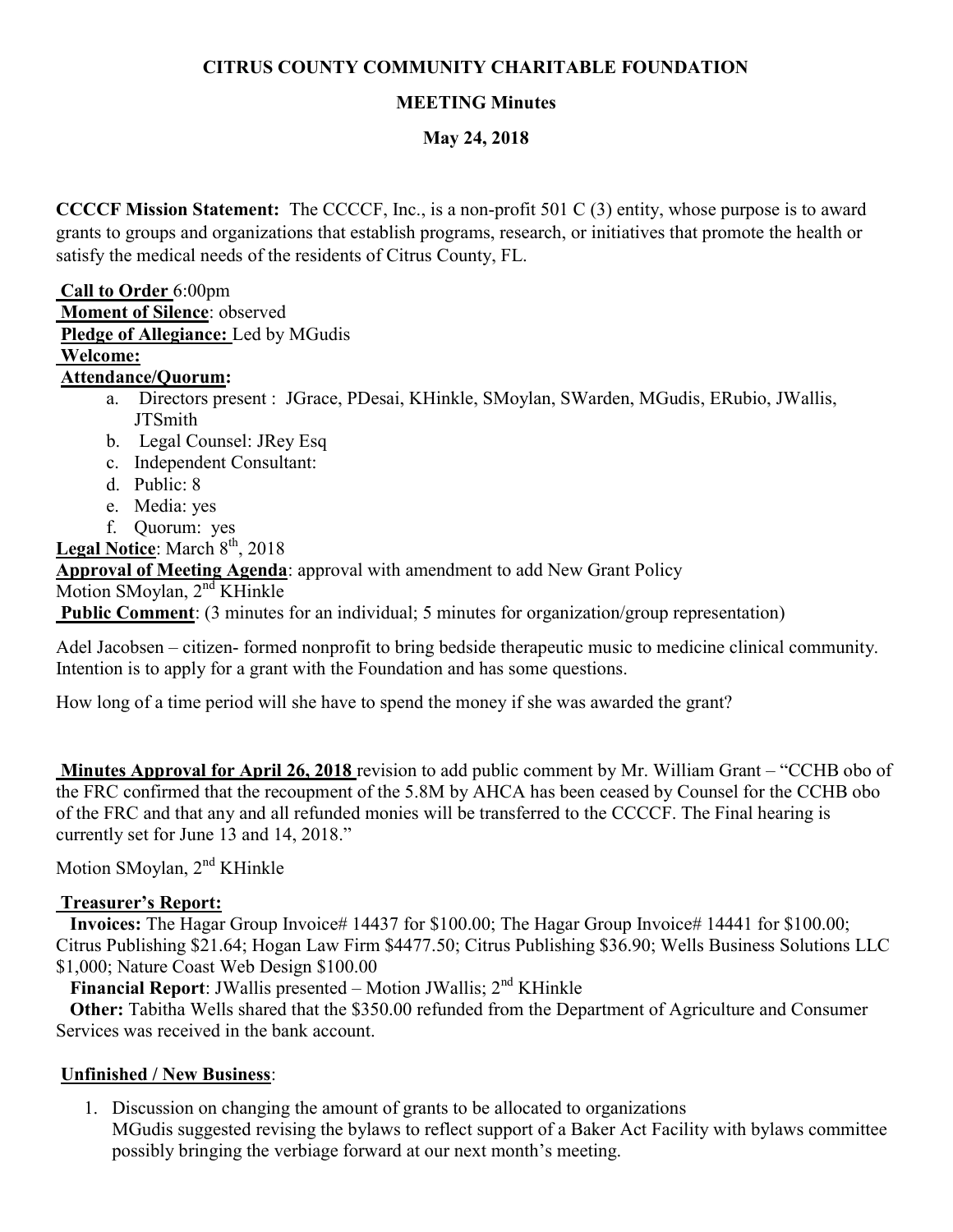# CITRUS COUNTY COMMUNITY CHARITABLE FOUNDATION

# MEETING Minutes

### May 24, 2018

CCCCF Mission Statement: The CCCCF, Inc., is a non-profit 501 C (3) entity, whose purpose is to award grants to groups and organizations that establish programs, research, or initiatives that promote the health or satisfy the medical needs of the residents of Citrus County, FL.

#### Call to Order 6:00pm

- Moment of Silence: observed
- Pledge of Allegiance: Led by MGudis

### Welcome:

# Attendance/Quorum:

- a. Directors present : JGrace, PDesai, KHinkle, SMoylan, SWarden, MGudis, ERubio, JWallis, **JTSmith**
- b. Legal Counsel: JRey Esq
- c. Independent Consultant:
- d. Public: 8
- e. Media: yes
- f. Quorum: yes

Legal Notice: March 8<sup>th</sup>, 2018

Approval of Meeting Agenda: approval with amendment to add New Grant Policy

Motion SMoylan, 2<sup>nd</sup> KHinkle

Public Comment: (3 minutes for an individual; 5 minutes for organization/group representation)

Adel Jacobsen – citizen- formed nonprofit to bring bedside therapeutic music to medicine clinical community. Intention is to apply for a grant with the Foundation and has some questions.

How long of a time period will she have to spend the money if she was awarded the grant?

Minutes Approval for April 26, 2018 revision to add public comment by Mr. William Grant – "CCHB obo of the FRC confirmed that the recoupment of the 5.8M by AHCA has been ceased by Counsel for the CCHB obo of the FRC and that any and all refunded monies will be transferred to the CCCCF. The Final hearing is currently set for June 13 and 14, 2018."

Motion SMoylan, 2<sup>nd</sup> KHinkle

# Treasurer's Report:

 Invoices: The Hagar Group Invoice# 14437 for \$100.00; The Hagar Group Invoice# 14441 for \$100.00; Citrus Publishing \$21.64; Hogan Law Firm \$4477.50; Citrus Publishing \$36.90; Wells Business Solutions LLC \$1,000; Nature Coast Web Design \$100.00

Financial Report: JWallis presented – Motion JWallis;  $2<sup>nd</sup>$  KHinkle

 Other: Tabitha Wells shared that the \$350.00 refunded from the Department of Agriculture and Consumer Services was received in the bank account.

### Unfinished / New Business:

1. Discussion on changing the amount of grants to be allocated to organizations MGudis suggested revising the bylaws to reflect support of a Baker Act Facility with bylaws committee possibly bringing the verbiage forward at our next month's meeting.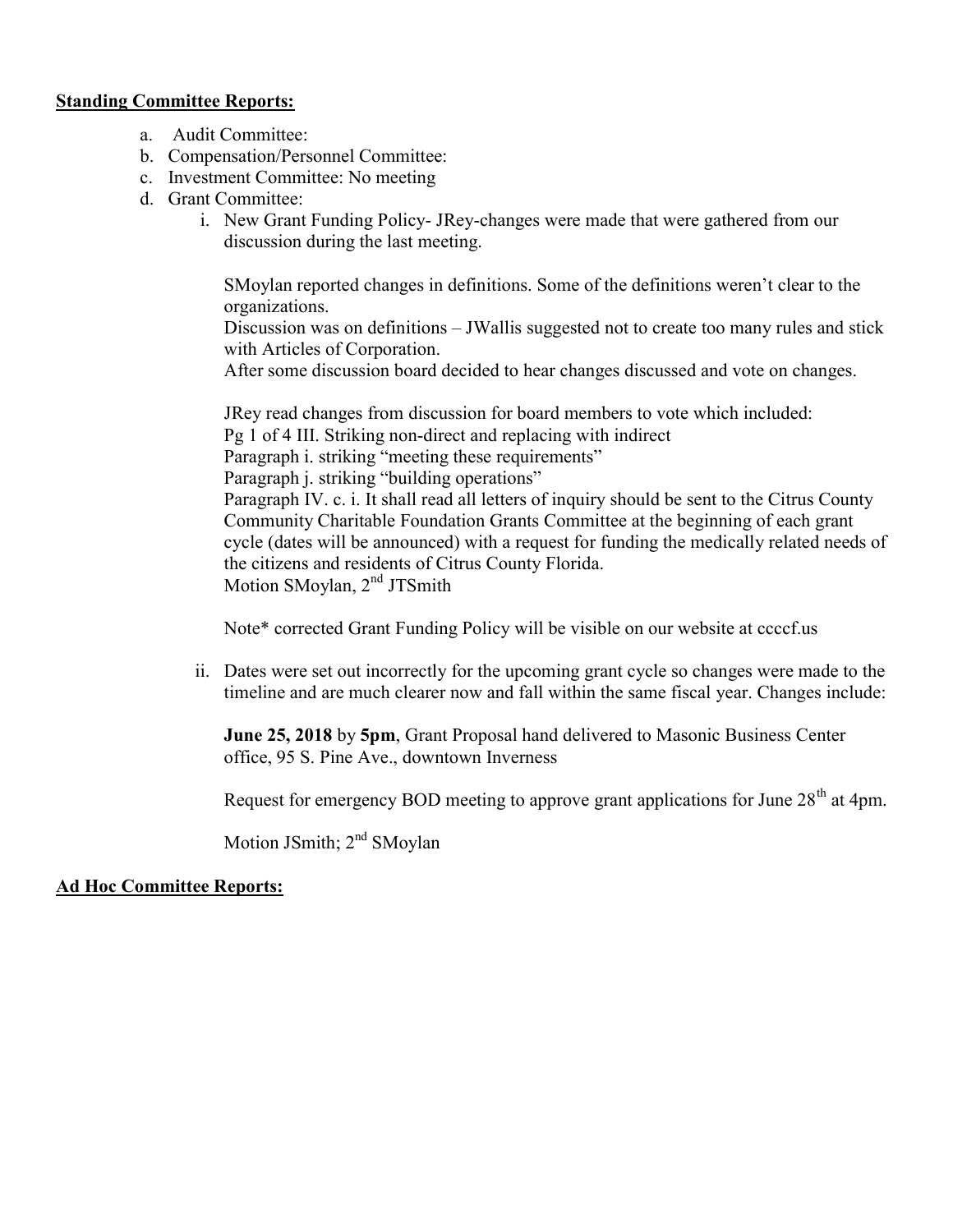#### Standing Committee Reports:

- a. Audit Committee:
- b. Compensation/Personnel Committee:
- c. Investment Committee: No meeting
- d. Grant Committee:
	- i. New Grant Funding Policy- JRey-changes were made that were gathered from our discussion during the last meeting.

SMoylan reported changes in definitions. Some of the definitions weren't clear to the organizations.

Discussion was on definitions – JWallis suggested not to create too many rules and stick with Articles of Corporation.

After some discussion board decided to hear changes discussed and vote on changes.

JRey read changes from discussion for board members to vote which included: Pg 1 of 4 III. Striking non-direct and replacing with indirect Paragraph i. striking "meeting these requirements" Paragraph *j.* striking "building operations" Paragraph IV. c. i. It shall read all letters of inquiry should be sent to the Citrus County Community Charitable Foundation Grants Committee at the beginning of each grant cycle (dates will be announced) with a request for funding the medically related needs of the citizens and residents of Citrus County Florida. Motion SMoylan, 2<sup>nd</sup> JTSmith

Note\* corrected Grant Funding Policy will be visible on our website at ccccf.us

ii. Dates were set out incorrectly for the upcoming grant cycle so changes were made to the timeline and are much clearer now and fall within the same fiscal year. Changes include:

June 25, 2018 by 5pm, Grant Proposal hand delivered to Masonic Business Center office, 95 S. Pine Ave., downtown Inverness

Request for emergency BOD meeting to approve grant applications for June  $28<sup>th</sup>$  at 4pm.

Motion JSmith; 2<sup>nd</sup> SMoylan

#### Ad Hoc Committee Reports: